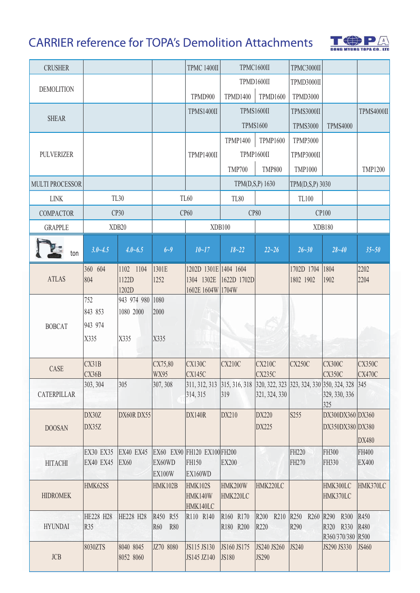## **CARRIER reference for TOPA's Demolition Attachments**



| <b>CRUSHER</b>         |                                      |                                 |                   | <b>TPMC 1400II</b>                           | TPMC1600II      |                   | TPMC3000II        |                                                                |                       |
|------------------------|--------------------------------------|---------------------------------|-------------------|----------------------------------------------|-----------------|-------------------|-------------------|----------------------------------------------------------------|-----------------------|
|                        |                                      |                                 |                   |                                              |                 | TPMD1600II        | TPMD3000II        |                                                                |                       |
| <b>DEMOLITION</b>      |                                      |                                 |                   | TPMD900                                      | <b>TPMD1400</b> | <b>TPMD1600</b>   | <b>TPMD3000</b>   |                                                                |                       |
|                        |                                      |                                 |                   | <b>TPMS1400II</b>                            |                 | <b>TPMS1600II</b> | <b>TPMS3000II</b> |                                                                | TPMS4000II            |
| <b>SHEAR</b>           |                                      |                                 |                   |                                              | <b>TPMS1600</b> |                   | <b>TPMS3000</b>   | <b>TPMS4000</b>                                                |                       |
|                        |                                      |                                 |                   |                                              | <b>TPMP1400</b> | <b>TPMP1600</b>   | <b>TPMP3000</b>   |                                                                |                       |
| <b>PULVERIZER</b>      |                                      |                                 |                   | <b>TPMP1400II</b>                            |                 | TPMP1600II        | TPMP3000II        |                                                                |                       |
|                        |                                      |                                 |                   |                                              | <b>TMP700</b>   | <b>TMP800</b>     | <b>TMP1000</b>    |                                                                | <b>TMP1200</b>        |
| <b>MULTI PROCESSOR</b> |                                      |                                 |                   |                                              | TPM(D,S,P) 1630 |                   | TPM(D,S,P) 3030   |                                                                |                       |
| <b>LINK</b>            | TL30                                 |                                 | <b>TL60</b>       |                                              | <b>TL80</b>     |                   | TL100             |                                                                |                       |
| <b>COMPACTOR</b>       | CP30                                 |                                 | CP60              |                                              | <b>CP80</b>     |                   | CP100             |                                                                |                       |
| <b>GRAPPLE</b>         |                                      | XDB20                           |                   | XDB100                                       |                 |                   |                   | XDB180                                                         |                       |
| ton                    | $3.0 - 4.5$                          | $4.0 - 6.5$                     | $6 - 9$           | $10 - 17$                                    | $18 - 22$       | $22 - 26$         | $26 - 30$         | $28 - 40$                                                      | $35 - 50$             |
|                        | 360 604                              | 1102 1104                       | 1301E             | 1202D 1301E 1404 1604                        |                 |                   | 1702D 1704        | 1804                                                           | 2202                  |
| <b>ATLAS</b>           | 804                                  | 1122D<br>1202D                  | 1252              | 1304 1302E<br>1602E 1604W 1704W              | 1622D 1702D     |                   | 1802 1902         | 1902                                                           | 2204                  |
|                        | 752                                  | 943 974 980                     | 1080              |                                              |                 |                   |                   |                                                                |                       |
|                        | 843 853                              | 1080 2000                       | 2000              |                                              |                 |                   |                   |                                                                |                       |
| <b>BOBCAT</b>          | 943 974                              |                                 |                   |                                              |                 |                   |                   |                                                                |                       |
|                        | X335                                 | X335                            | X335              |                                              |                 |                   |                   |                                                                |                       |
| CASE                   | CX31B                                |                                 | CX75,80           | <b>CX130C</b>                                | <b>CX210C</b>   | <b>CX210C</b>     | <b>CX250C</b>     | <b>CX300C</b>                                                  | <b>CX350C</b>         |
|                        | CX36B<br>303, 304                    | 305                             | WX95<br>307, 308  | <b>CX145C</b><br>311, 312, 313 315, 316, 318 |                 | <b>CX235C</b>     |                   | <b>CX350C</b><br>320, 322, 323 323, 324, 330 350, 324, 328 345 | <b>CX470C</b>         |
| CATERPILLAR            |                                      |                                 |                   | 314, 315                                     | 319             | 321, 324, 330     |                   | 329, 330, 336<br>325                                           |                       |
| <b>DOOSAN</b>          | DX30Z                                | DX60R DX55                      |                   | <b>DX140R</b>                                | DX210           | DX220             | S255              | DX300DX360 DX360                                               |                       |
|                        | DX35Z                                |                                 |                   |                                              |                 | DX225             |                   | DX350DX380 DX380                                               |                       |
|                        |                                      |                                 |                   |                                              |                 |                   |                   |                                                                | <b>DX480</b>          |
| <b>HITACHI</b>         | <b>EX30 EX35</b><br><b>EX40 EX45</b> | <b>EX40 EX45</b><br><b>EX60</b> | EX60WD            | EX60 EX90 FH120 EX100 FH200<br>FH150         | <b>EX200</b>    |                   | FH220<br>FH270    | FH300<br>FH330                                                 | FH400<br><b>EX400</b> |
|                        |                                      |                                 | <b>EX100W</b>     | EX160WD                                      |                 |                   |                   |                                                                |                       |
| <b>HIDROMEK</b>        | HMK62SS                              |                                 | <b>HMK102B</b>    | <b>HMK102S</b>                               | HMK200W         | HMK220LC          |                   | HMK300LC                                                       | HMK370LC              |
|                        |                                      |                                 |                   | HMK140W<br>HMK140LC                          | HMK220LC        |                   |                   | HMK370LC                                                       |                       |
|                        | HE228 H28                            | HE228 H28                       | R450 R55          | R110 R140                                    | R160 R170       | R200 R210         | R250 R260         | R290 R300                                                      | R450                  |
| <b>HYUNDAI</b>         | R35                                  |                                 | R60<br><b>R80</b> |                                              | R180 R200       | R220              | R290              | R320 R330                                                      | R480                  |
|                        | 8030ZTS                              | 8040 8045                       | JZ70 8080         | JS115 JS130                                  | JS160 JS175     | JS240 JS260       | JS240             | R360/370/380 R500<br>JS290 JS330                               | <b>JS460</b>          |
| <b>JCB</b>             |                                      | 8052 8060                       |                   | JS145 JZ140                                  | JS180           | JS290             |                   |                                                                |                       |
|                        |                                      |                                 |                   |                                              |                 |                   |                   |                                                                |                       |